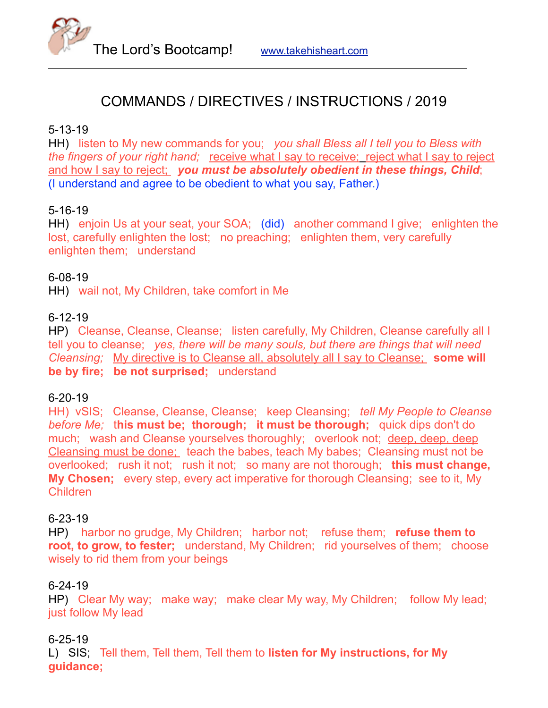

# COMMANDS / DIRECTIVES / INSTRUCTIONS / 2019

## 5-13-19

HH) listen to My new commands for you; *you shall Bless all I tell you to Bless with the fingers of your right hand;* receive what I say to receive; reject what I say to reject and how I say to reject; *you must be absolutely obedient in these things, Child*; (I understand and agree to be obedient to what you say, Father.)

# 5-16-19

HH) enjoin Us at your seat, your SOA; (did) another command I give; enlighten the lost, carefully enlighten the lost; no preaching; enlighten them, very carefully enlighten them; understand

## 6-08-19

HH) wail not, My Children, take comfort in Me

## 6-12-19

HP) Cleanse, Cleanse, Cleanse; listen carefully, My Children, Cleanse carefully all I tell you to cleanse; *yes, there will be many souls, but there are things that will need Cleansing;* My directive is to Cleanse all, absolutely all I say to Cleanse; **some will be by fire; be not surprised;** understand

## 6-20-19

HH) vSIS; Cleanse, Cleanse, Cleanse; keep Cleansing; *tell My People to Cleanse before Me;* t**his must be; thorough; it must be thorough;** quick dips don't do much; wash and Cleanse yourselves thoroughly; overlook not; deep, deep, deep Cleansing must be done; teach the babes, teach My babes; Cleansing must not be overlooked; rush it not; rush it not; so many are not thorough; **this must change, My Chosen;** every step, every act imperative for thorough Cleansing; see to it, My Children

## 6-23-19

HP) harbor no grudge, My Children; harbor not; refuse them; **refuse them to root, to grow, to fester;** understand, My Children; rid yourselves of them; choose wisely to rid them from your beings

## 6-24-19

HP) Clear My way; make way; make clear My way, My Children; follow My lead; just follow My lead

## 6-25-19

L) SIS; Tell them, Tell them, Tell them to **listen for My instructions, for My guidance;**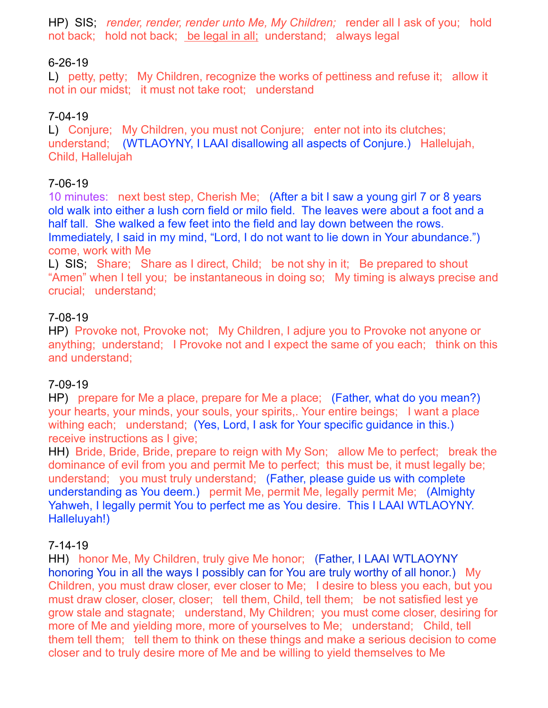HP) SIS; *render, render, render unto Me, My Children;* render all I ask of you; hold not back; hold not back; be legal in all; understand; always legal

# 6-26-19

L) petty, petty; My Children, recognize the works of pettiness and refuse it; allow it not in our midst; it must not take root; understand

# 7-04-19

L) Conjure; My Children, you must not Conjure; enter not into its clutches; understand; (WTLAOYNY, I LAAI disallowing all aspects of Conjure.) Hallelujah, Child, Hallelujah

## 7-06-19

10 minutes: next best step, Cherish Me; (After a bit I saw a young girl 7 or 8 years old walk into either a lush corn field or milo field. The leaves were about a foot and a half tall. She walked a few feet into the field and lay down between the rows. Immediately, I said in my mind, "Lord, I do not want to lie down in Your abundance.") come, work with Me

L) SIS; Share; Share as I direct, Child; be not shy in it; Be prepared to shout "Amen" when I tell you; be instantaneous in doing so; My timing is always precise and crucial; understand;

#### 7-08-19

HP) Provoke not, Provoke not; My Children, I adjure you to Provoke not anyone or anything; understand; I Provoke not and I expect the same of you each; think on this and understand;

#### 7-09-19

HP) prepare for Me a place, prepare for Me a place; (Father, what do you mean?) your hearts, your minds, your souls, your spirits,. Your entire beings; I want a place withing each; understand; (Yes, Lord, I ask for Your specific guidance in this.) receive instructions as I give:

HH) Bride, Bride, Bride, prepare to reign with My Son; allow Me to perfect; break the dominance of evil from you and permit Me to perfect; this must be, it must legally be; understand; you must truly understand; (Father, please guide us with complete understanding as You deem.) permit Me, permit Me, legally permit Me; (Almighty Yahweh, I legally permit You to perfect me as You desire. This I LAAI WTLAOYNY. Halleluyah!)

#### 7-14-19

HH) honor Me, My Children, truly give Me honor; (Father, I LAAI WTLAOYNY honoring You in all the ways I possibly can for You are truly worthy of all honor.) My Children, you must draw closer, ever closer to Me; I desire to bless you each, but you must draw closer, closer, closer; tell them, Child, tell them; be not satisfied lest ye grow stale and stagnate; understand, My Children; you must come closer, desiring for more of Me and yielding more, more of yourselves to Me; understand; Child, tell them tell them; tell them to think on these things and make a serious decision to come closer and to truly desire more of Me and be willing to yield themselves to Me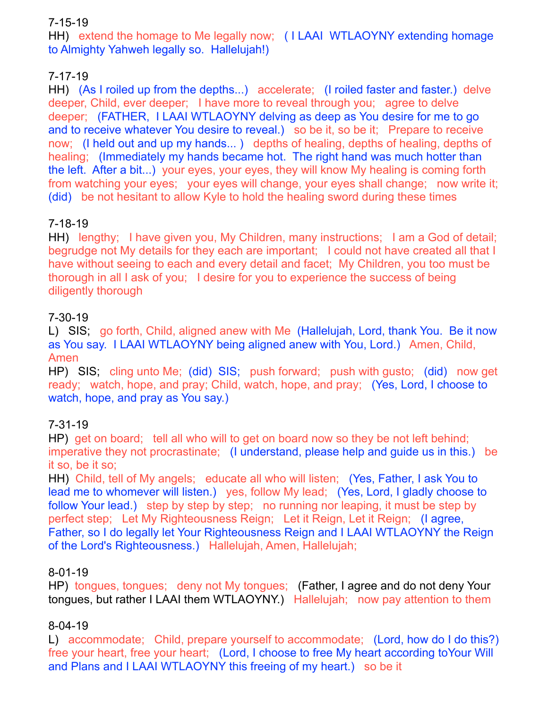# 7-15-19

HH) extend the homage to Me legally now; ( I LAAI WTLAOYNY extending homage to Almighty Yahweh legally so. Hallelujah!)

# 7-17-19

HH) (As I roiled up from the depths...) accelerate; (I roiled faster and faster.) delve deeper, Child, ever deeper; I have more to reveal through you; agree to delve deeper; (FATHER, I LAAI WTLAOYNY delving as deep as You desire for me to go and to receive whatever You desire to reveal.) so be it, so be it; Prepare to receive now; (I held out and up my hands... ) depths of healing, depths of healing, depths of healing; (Immediately my hands became hot. The right hand was much hotter than the left. After a bit...) your eyes, your eyes, they will know My healing is coming forth from watching your eyes; your eyes will change, your eyes shall change; now write it; (did) be not hesitant to allow Kyle to hold the healing sword during these times

# 7-18-19

HH) lengthy; I have given you, My Children, many instructions; I am a God of detail; begrudge not My details for they each are important; I could not have created all that I have without seeing to each and every detail and facet; My Children, you too must be thorough in all I ask of you; I desire for you to experience the success of being diligently thorough

# 7-30-19

L) SIS; go forth, Child, aligned anew with Me (Hallelujah, Lord, thank You. Be it now as You say. I LAAI WTLAOYNY being aligned anew with You, Lord.) Amen, Child, Amen

HP) SIS; cling unto Me; (did) SIS; push forward; push with gusto; (did) now get ready; watch, hope, and pray; Child, watch, hope, and pray; (Yes, Lord, I choose to watch, hope, and pray as You say.)

# 7-31-19

HP) get on board; tell all who will to get on board now so they be not left behind; imperative they not procrastinate; (I understand, please help and guide us in this.) be it so, be it so;

HH) Child, tell of My angels; educate all who will listen; (Yes, Father, I ask You to lead me to whomever will listen.) yes, follow My lead; (Yes, Lord, I gladly choose to follow Your lead.) step by step by step; no running nor leaping, it must be step by perfect step; Let My Righteousness Reign; Let it Reign, Let it Reign; (I agree, Father, so I do legally let Your Righteousness Reign and I LAAI WTLAOYNY the Reign of the Lord's Righteousness.) Hallelujah, Amen, Hallelujah;

# 8-01-19

HP) tongues, tongues; deny not My tongues; (Father, I agree and do not deny Your tongues, but rather I LAAI them WTLAOYNY.) Hallelujah; now pay attention to them

# 8-04-19

L) accommodate; Child, prepare yourself to accommodate; (Lord, how do I do this?) free your heart, free your heart; (Lord, I choose to free My heart according toYour Will and Plans and I LAAI WTLAOYNY this freeing of my heart.) so be it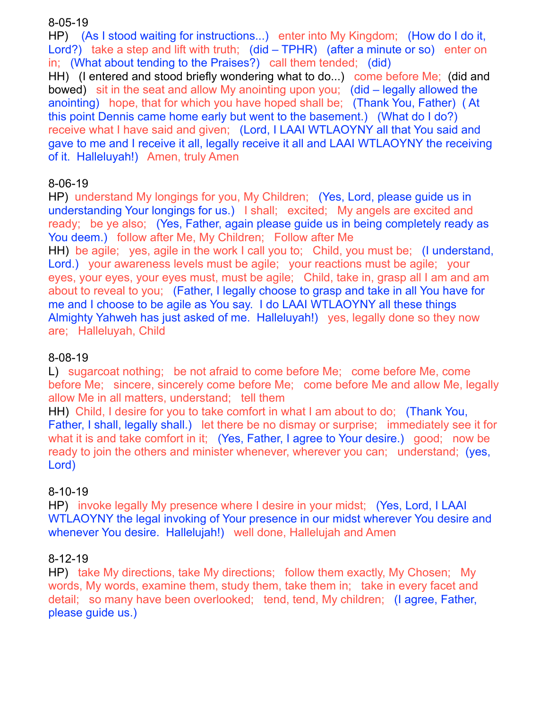## 8-05-19

HP) (As I stood waiting for instructions...) enter into My Kingdom; (How do I do it, Lord?) take a step and lift with truth; (did – TPHR) (after a minute or so) enter on in; (What about tending to the Praises?) call them tended; (did)

HH) (I entered and stood briefly wondering what to do...) come before Me; (did and bowed) sit in the seat and allow My anointing upon you; (did – legally allowed the anointing) hope, that for which you have hoped shall be; (Thank You, Father) ( At this point Dennis came home early but went to the basement.) (What do I do?) receive what I have said and given; (Lord, I LAAI WTLAOYNY all that You said and gave to me and I receive it all, legally receive it all and LAAI WTLAOYNY the receiving of it. Halleluyah!) Amen, truly Amen

## 8-06-19

HP) understand My longings for you, My Children; (Yes, Lord, please guide us in understanding Your longings for us.) I shall; excited; My angels are excited and ready; be ye also; (Yes, Father, again please guide us in being completely ready as You deem.) follow after Me, My Children; Follow after Me

HH) be agile; yes, agile in the work I call you to; Child, you must be; (I understand, Lord.) your awareness levels must be agile; your reactions must be agile; your eyes, your eyes, your eyes must, must be agile; Child, take in, grasp all I am and am about to reveal to you; (Father, I legally choose to grasp and take in all You have for me and I choose to be agile as You say. I do LAAI WTLAOYNY all these things Almighty Yahweh has just asked of me. Halleluyah!) yes, legally done so they now are; Halleluyah, Child

# 8-08-19

L) sugarcoat nothing; be not afraid to come before Me; come before Me, come before Me; sincere, sincerely come before Me; come before Me and allow Me, legally allow Me in all matters, understand; tell them

HH) Child, I desire for you to take comfort in what I am about to do; (Thank You, Father, I shall, legally shall.) let there be no dismay or surprise; immediately see it for what it is and take comfort in it; (Yes, Father, I agree to Your desire.) good; now be ready to join the others and minister whenever, wherever you can; understand; (yes, Lord)

# 8-10-19

HP) invoke legally My presence where I desire in your midst; (Yes, Lord, I LAAI WTLAOYNY the legal invoking of Your presence in our midst wherever You desire and whenever You desire. Hallelujah!) well done, Hallelujah and Amen

## 8-12-19

HP) take My directions, take My directions; follow them exactly, My Chosen; My words, My words, examine them, study them, take them in; take in every facet and detail; so many have been overlooked; tend, tend, My children; (I agree, Father, please guide us.)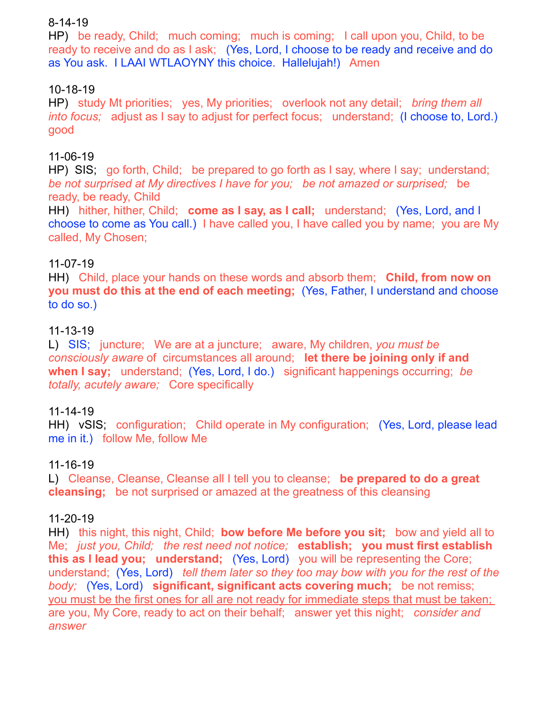## 8-14-19

HP) be ready, Child; much coming; much is coming; I call upon you, Child, to be ready to receive and do as I ask; (Yes, Lord, I choose to be ready and receive and do as You ask. I LAAI WTLAOYNY this choice. Hallelujah!) Amen

# 10-18-19

HP) study Mt priorities; yes, My priorities; overlook not any detail; *bring them all into focus;* adjust as I say to adjust for perfect focus; understand; (I choose to, Lord.) good

## 11-06-19

HP) SIS; go forth, Child; be prepared to go forth as I say, where I say; understand; *be not surprised at My directives I have for you; be not amazed or surprised;* be ready, be ready, Child

HH) hither, hither, Child; **come as I say, as I call;** understand; (Yes, Lord, and I choose to come as You call.) I have called you, I have called you by name; you are My called, My Chosen;

## 11-07-19

HH) Child, place your hands on these words and absorb them; **Child, from now on you must do this at the end of each meeting;** (Yes, Father, I understand and choose to do so.)

## 11-13-19

L) SIS; juncture; We are at a juncture; aware, My children, *you must be consciously aware* of circumstances all around; **let there be joining only if and when I say;** understand; (Yes, Lord, I do.) significant happenings occurring; *be totally, acutely aware;* Core specifically

## 11-14-19

HH) vSIS; configuration; Child operate in My configuration; (Yes, Lord, please lead me in it.) follow Me, follow Me

## 11-16-19

L) Cleanse, Cleanse, Cleanse all I tell you to cleanse; **be prepared to do a great cleansing;** be not surprised or amazed at the greatness of this cleansing

## 11-20-19

HH) this night, this night, Child; **bow before Me before you sit;** bow and yield all to Me; *just you, Child; the rest need not notice;* **establish; you must first establish this as I lead you; understand;** (Yes, Lord) you will be representing the Core; understand; (Yes, Lord) *tell them later so they too may bow with you for the rest of the body;* (Yes, Lord) **significant, significant acts covering much;** be not remiss; you must be the first ones for all are not ready for immediate steps that must be taken; are you, My Core, ready to act on their behalf; answer yet this night; *consider and answer*